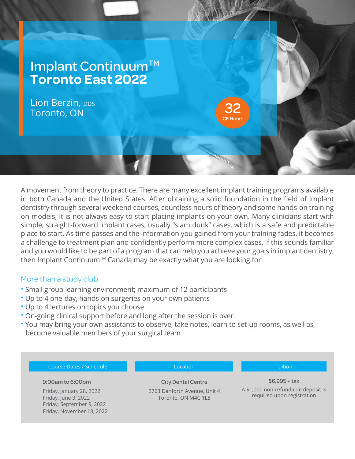

A movement from theory to practice. There are many excellent implant training programs available in both Canada and the United States. After obtaining a solid foundation in the field of implant dentistry through several weekend courses, countless hours of theory and some hands-on training on models, it is not always easy to start placing implants on your own. Many clinicians start with simple, straight-forward implant cases, usually "slam dunk" cases, which is a safe and predictable place to start. As time passes and the information you gained from your training fades, it becomes a challenge to treatment plan and confidently perform more complex cases. If this sounds familiar and you would like to be part of a program that can help you achieve your goals in implant dentistry, then Implant Continuum™ Canada may be exactly what you are looking for.

## More than a study club

- Small group learning environment; maximum of 12 participants
- Up to 4 one-day, hands-on surgeries on your own patients
- Up to 4 lectures on topics you choose
- On-going clinical support before and long after the session is over
- You may bring your own assistants to observe, take notes, learn to set-up rooms, as well as, become valuable members of your surgical team